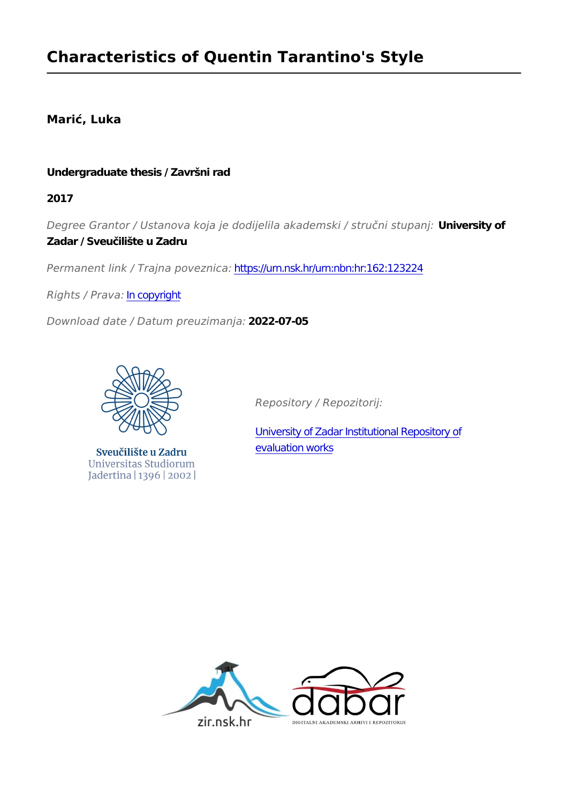## **Marić, Luka**

### **Undergraduate thesis / Završni rad**

**2017**

*Degree Grantor / Ustanova koja je dodijelila akademski / stručni stupanj:* **University of Zadar / Sveučilište u Zadru**

*Permanent link / Trajna poveznica:* <https://urn.nsk.hr/urn:nbn:hr:162:123224>

*Rights / Prava:* [In copyright](http://rightsstatements.org/vocab/InC/1.0/)

*Download date / Datum preuzimanja:* **2022-07-05**



Sveučilište u Zadru Universitas Studiorum Jadertina | 1396 | 2002 |

*Repository / Repozitorij:*

[University of Zadar Institutional Repository of](https://repozitorij.unizd.hr) [evaluation works](https://repozitorij.unizd.hr)

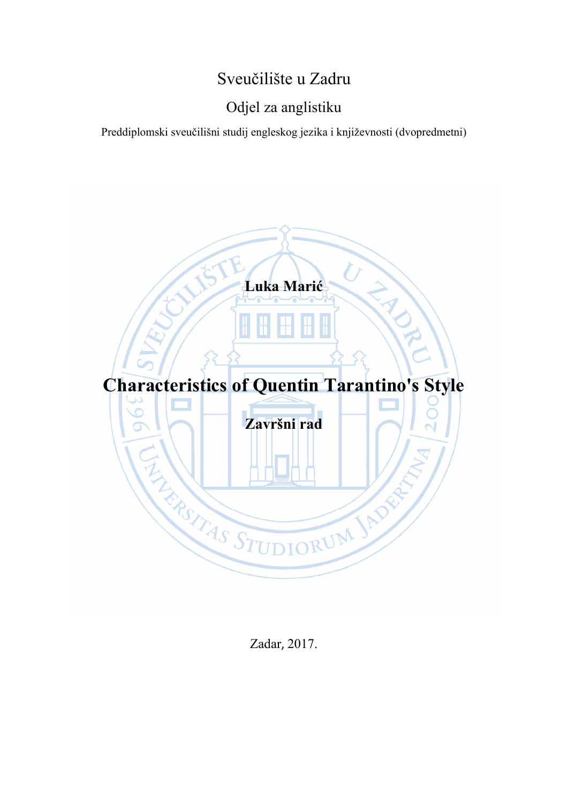# Sveučilište u Zadru

# Odjel za anglistiku

Preddiplomski sveučilišni studij engleskog jezika i književnosti (dvopredmetni)



Zadar, 2017.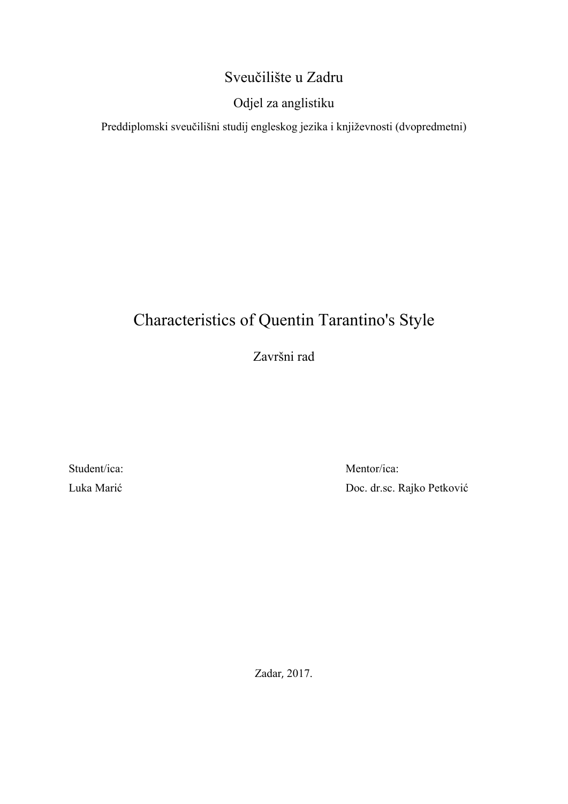# Sveučilište u Zadru

# Odjel za anglistiku

Preddiplomski sveučilišni studij engleskog jezika i književnosti (dvopredmetni)

# Characteristics of Quentin Tarantino's Style

Završni rad

Student/ica: Luka Marić

Mentor/ica: Doc. dr.sc. Rajko Petković

Zadar, 2017.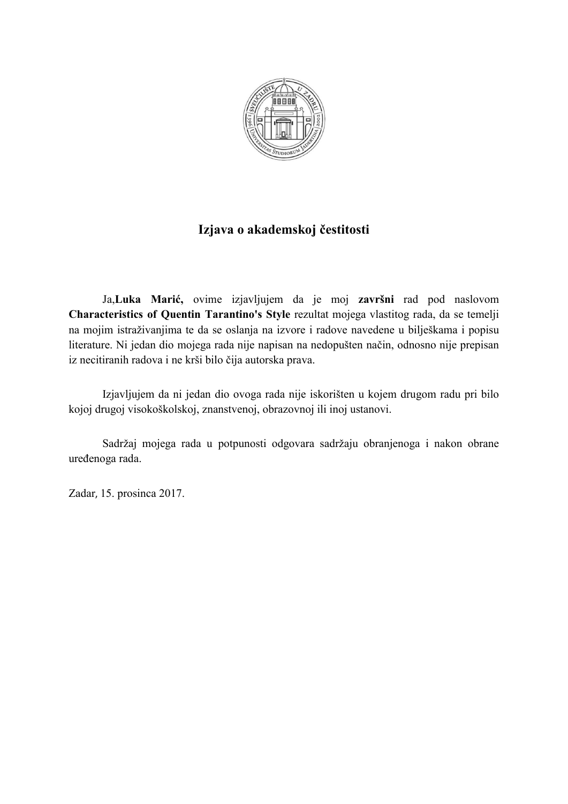

# **Izjava o akademskoj čestitosti**

Ja,**Luka Marić,** ovime izjavljujem da je moj **završni** rad pod naslovom **Characteristics of Quentin Tarantino's Style** rezultat mojega vlastitog rada, da se temelji na mojim istraživanjima te da se oslanja na izvore i radove navedene u bilješkama i popisu literature. Ni jedan dio mojega rada nije napisan na nedopušten način, odnosno nije prepisan iz necitiranih radova i ne krši bilo čija autorska prava.

Izjavljujem da ni jedan dio ovoga rada nije iskorišten u kojem drugom radu pri bilo kojoj drugoj visokoškolskoj, znanstvenoj, obrazovnoj ili inoj ustanovi.

Sadržaj mojega rada u potpunosti odgovara sadržaju obranjenoga i nakon obrane uređenoga rada.

Zadar, 15. prosinca 2017.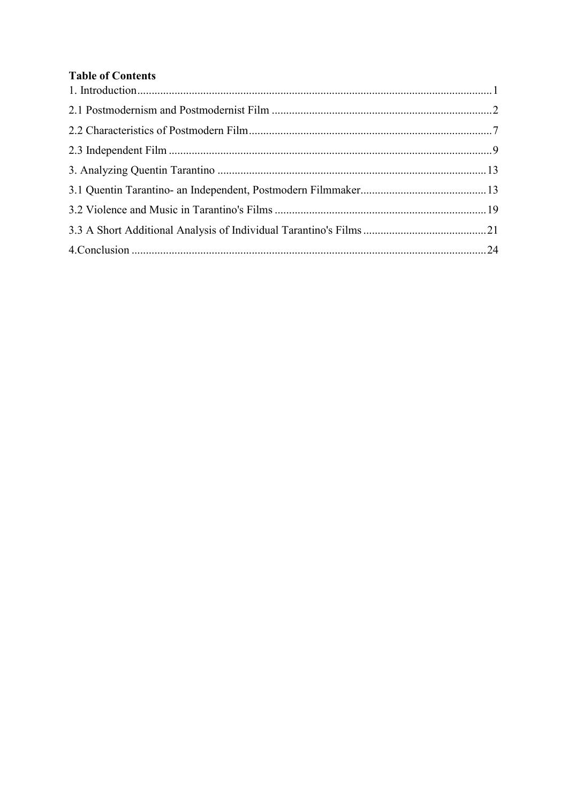## **Table of Contents**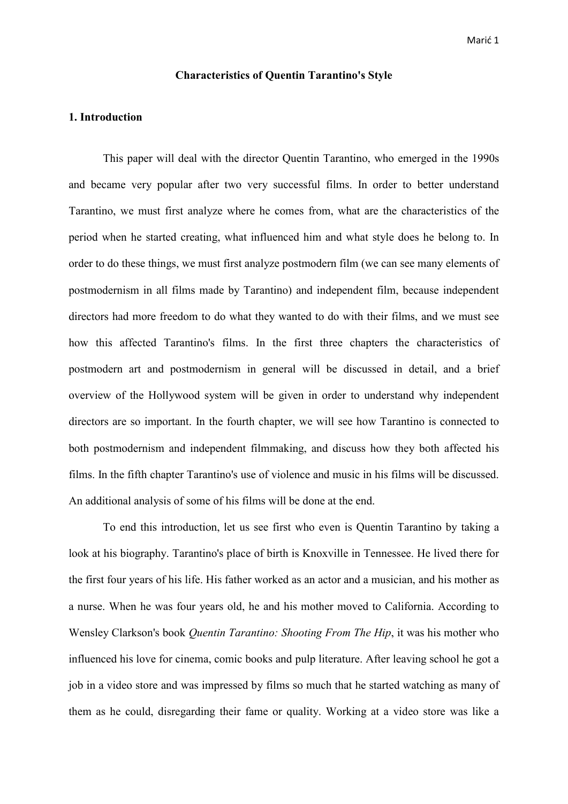#### **Characteristics of Quentin Tarantino's Style**

#### **1. Introduction**

 This paper will deal with the director Quentin Tarantino, who emerged in the 1990s and became very popular after two very successful films. In order to better understand Tarantino, we must first analyze where he comes from, what are the characteristics of the period when he started creating, what influenced him and what style does he belong to. In order to do these things, we must first analyze postmodern film (we can see many elements of postmodernism in all films made by Tarantino) and independent film, because independent directors had more freedom to do what they wanted to do with their films, and we must see how this affected Tarantino's films. In the first three chapters the characteristics of postmodern art and postmodernism in general will be discussed in detail, and a brief overview of the Hollywood system will be given in order to understand why independent directors are so important. In the fourth chapter, we will see how Tarantino is connected to both postmodernism and independent filmmaking, and discuss how they both affected his films. In the fifth chapter Tarantino's use of violence and music in his films will be discussed. An additional analysis of some of his films will be done at the end.

 To end this introduction, let us see first who even is Quentin Tarantino by taking a look at his biography. Tarantino's place of birth is Knoxville in Tennessee. He lived there for the first four years of his life. His father worked as an actor and a musician, and his mother as a nurse. When he was four years old, he and his mother moved to California. According to Wensley Clarkson's book *Quentin Tarantino: Shooting From The Hip*, it was his mother who influenced his love for cinema, comic books and pulp literature. After leaving school he got a job in a video store and was impressed by films so much that he started watching as many of them as he could, disregarding their fame or quality. Working at a video store was like a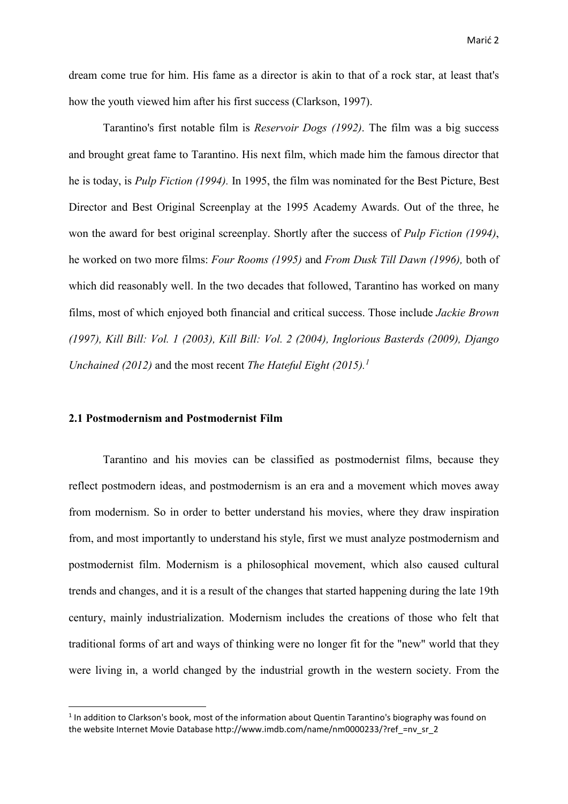dream come true for him. His fame as a director is akin to that of a rock star, at least that's how the youth viewed him after his first success (Clarkson, 1997).

 Tarantino's first notable film is *Reservoir Dogs (1992)*. The film was a big success and brought great fame to Tarantino. His next film, which made him the famous director that he is today, is *Pulp Fiction (1994).* In 1995, the film was nominated for the Best Picture, Best Director and Best Original Screenplay at the 1995 Academy Awards. Out of the three, he won the award for best original screenplay. Shortly after the success of *Pulp Fiction (1994)*, he worked on two more films: *Four Rooms (1995)* and *From Dusk Till Dawn (1996),* both of which did reasonably well. In the two decades that followed, Tarantino has worked on many films, most of which enjoyed both financial and critical success. Those include *Jackie Brown (1997), Kill Bill: Vol. 1 (2003), Kill Bill: Vol. 2 (2004), Inglorious Basterds (2009), Django Unchained (2012)* and the most recent *The Hateful Eight (2015).<sup>1</sup>*

#### **2.1 Postmodernism and Postmodernist Film**

**.** 

 Tarantino and his movies can be classified as postmodernist films, because they reflect postmodern ideas, and postmodernism is an era and a movement which moves away from modernism. So in order to better understand his movies, where they draw inspiration from, and most importantly to understand his style, first we must analyze postmodernism and postmodernist film. Modernism is a philosophical movement, which also caused cultural trends and changes, and it is a result of the changes that started happening during the late 19th century, mainly industrialization. Modernism includes the creations of those who felt that traditional forms of art and ways of thinking were no longer fit for the "new" world that they were living in, a world changed by the industrial growth in the western society. From the

<sup>&</sup>lt;sup>1</sup> In addition to Clarkson's book, most of the information about Quentin Tarantino's biography was found on the website Internet Movie Database http://www.imdb.com/name/nm0000233/?ref =nv\_sr\_2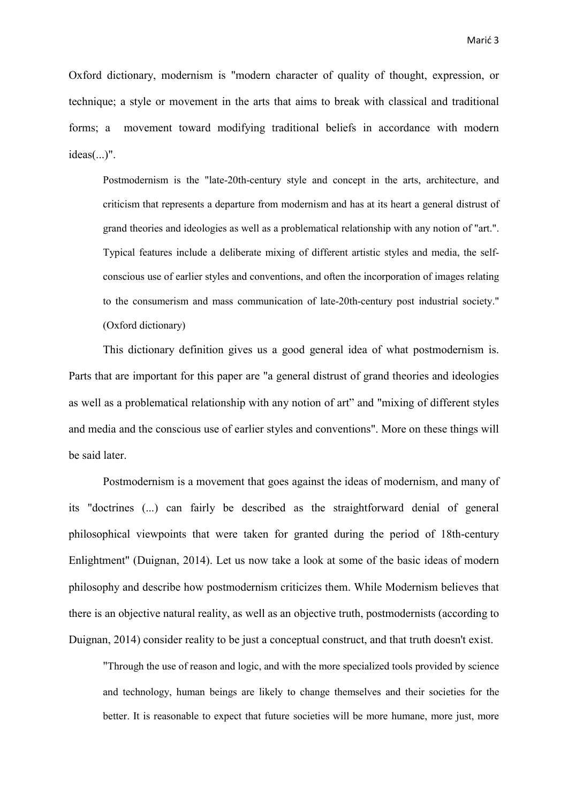Oxford dictionary, modernism is "modern character of quality of thought, expression, or technique; a style or movement in the arts that aims to break with classical and traditional forms; a movement toward modifying traditional beliefs in accordance with modern ideas(...)".

 Postmodernism is the "late-20th-century style and concept in the arts, architecture, and criticism that represents a departure from modernism and has at its heart a general distrust of grand theories and ideologies as well as a problematical relationship with any notion of "art.". Typical features include a deliberate mixing of different artistic styles and media, the self conscious use of earlier styles and conventions, and often the incorporation of images relating to the consumerism and mass communication of late-20th-century post industrial society." (Oxford dictionary)

 This dictionary definition gives us a good general idea of what postmodernism is. Parts that are important for this paper are "a general distrust of grand theories and ideologies as well as a problematical relationship with any notion of art" and "mixing of different styles and media and the conscious use of earlier styles and conventions". More on these things will be said later.

 Postmodernism is a movement that goes against the ideas of modernism, and many of its "doctrines (...) can fairly be described as the straightforward denial of general philosophical viewpoints that were taken for granted during the period of 18th-century Enlightment" (Duignan, 2014). Let us now take a look at some of the basic ideas of modern philosophy and describe how postmodernism criticizes them. While Modernism believes that there is an objective natural reality, as well as an objective truth, postmodernists (according to Duignan, 2014) consider reality to be just a conceptual construct, and that truth doesn't exist.

 "Through the use of reason and logic, and with the more specialized tools provided by science and technology, human beings are likely to change themselves and their societies for the better. It is reasonable to expect that future societies will be more humane, more just, more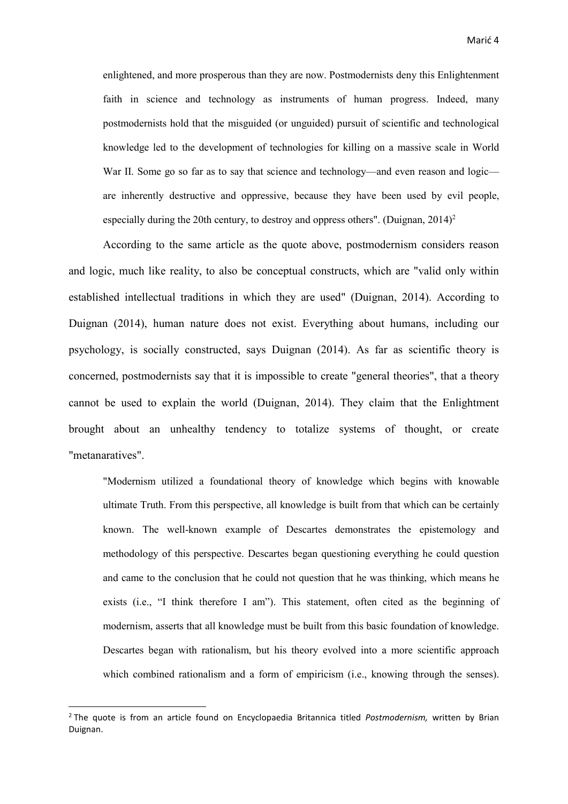enlightened, and more prosperous than they are now. Postmodernists deny this Enlightenment faith in science and technology as instruments of human progress. Indeed, many postmodernists hold that the misguided (or unguided) pursuit of scientific and technological knowledge led to the development of technologies for killing on a massive scale in World War II. Some go so far as to say that science and technology—and even reason and logic are inherently destructive and oppressive, because they have been used by evil people, especially during the 20th century, to destroy and oppress others". (Duignan,  $2014$ )<sup>2</sup>

 According to the same article as the quote above, postmodernism considers reason and logic, much like reality, to also be conceptual constructs, which are "valid only within established intellectual traditions in which they are used" (Duignan, 2014). According to Duignan (2014), human nature does not exist. Everything about humans, including our psychology, is socially constructed, says Duignan (2014). As far as scientific theory is concerned, postmodernists say that it is impossible to create "general theories", that a theory cannot be used to explain the world (Duignan, 2014). They claim that the Enlightment brought about an unhealthy tendency to totalize systems of thought, or create "metanaratives".

 "Modernism utilized a foundational theory of knowledge which begins with knowable ultimate Truth. From this perspective, all knowledge is built from that which can be certainly known. The well-known example of Descartes demonstrates the epistemology and methodology of this perspective. Descartes began questioning everything he could question and came to the conclusion that he could not question that he was thinking, which means he exists (i.e., "I think therefore I am"). This statement, often cited as the beginning of modernism, asserts that all knowledge must be built from this basic foundation of knowledge. Descartes began with rationalism, but his theory evolved into a more scientific approach which combined rationalism and a form of empiricism (i.e., knowing through the senses).

**.** 

<sup>2</sup> The quote is from an article found on Encyclopaedia Britannica titled *Postmodernism,* written by Brian Duignan.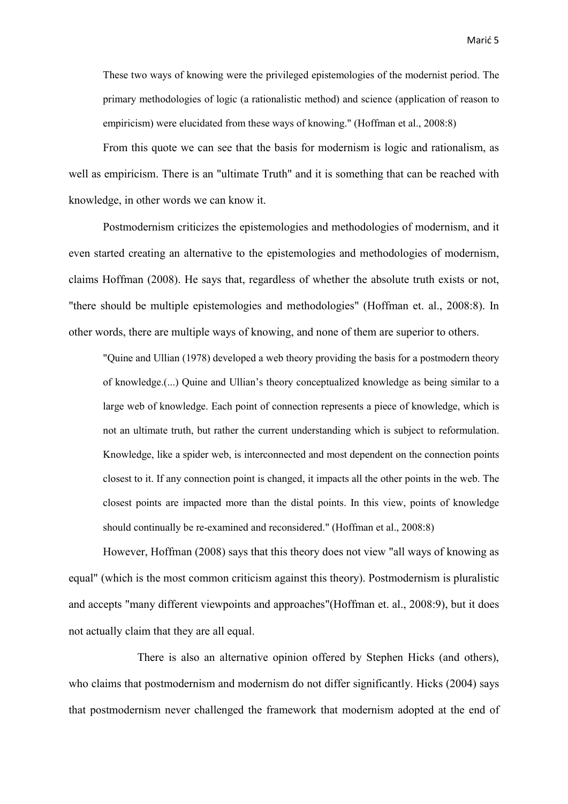These two ways of knowing were the privileged epistemologies of the modernist period. The primary methodologies of logic (a rationalistic method) and science (application of reason to empiricism) were elucidated from these ways of knowing." (Hoffman et al., 2008:8)

From this quote we can see that the basis for modernism is logic and rationalism, as well as empiricism. There is an "ultimate Truth" and it is something that can be reached with knowledge, in other words we can know it.

 Postmodernism criticizes the epistemologies and methodologies of modernism, and it even started creating an alternative to the epistemologies and methodologies of modernism, claims Hoffman (2008). He says that, regardless of whether the absolute truth exists or not, "there should be multiple epistemologies and methodologies" (Hoffman et. al., 2008:8). In other words, there are multiple ways of knowing, and none of them are superior to others.

 "Quine and Ullian (1978) developed a web theory providing the basis for a postmodern theory of knowledge.(...) Quine and Ullian's theory conceptualized knowledge as being similar to a large web of knowledge. Each point of connection represents a piece of knowledge, which is not an ultimate truth, but rather the current understanding which is subject to reformulation. Knowledge, like a spider web, is interconnected and most dependent on the connection points closest to it. If any connection point is changed, it impacts all the other points in the web. The closest points are impacted more than the distal points. In this view, points of knowledge should continually be re-examined and reconsidered." (Hoffman et al., 2008:8)

 However, Hoffman (2008) says that this theory does not view "all ways of knowing as equal" (which is the most common criticism against this theory). Postmodernism is pluralistic and accepts "many different viewpoints and approaches"(Hoffman et. al., 2008:9), but it does not actually claim that they are all equal.

 There is also an alternative opinion offered by Stephen Hicks (and others), who claims that postmodernism and modernism do not differ significantly. Hicks (2004) says that postmodernism never challenged the framework that modernism adopted at the end of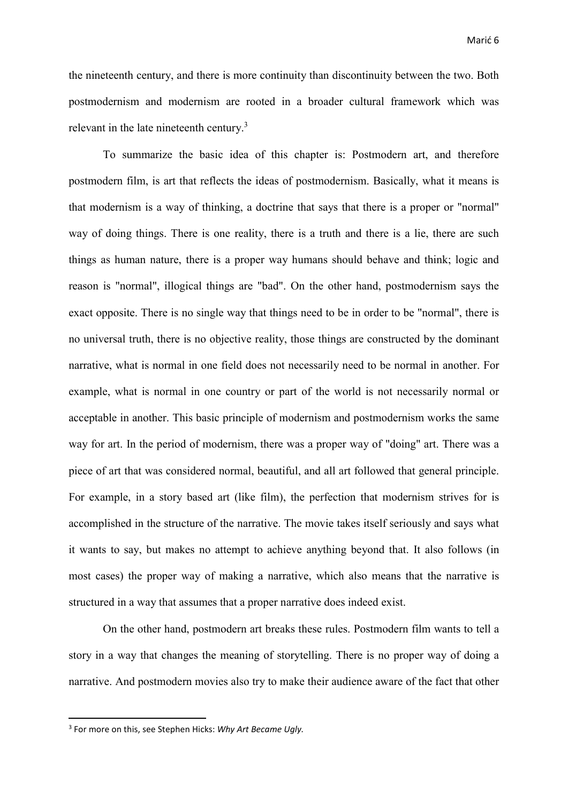the nineteenth century, and there is more continuity than discontinuity between the two. Both postmodernism and modernism are rooted in a broader cultural framework which was relevant in the late nineteenth century.<sup>3</sup>

 To summarize the basic idea of this chapter is: Postmodern art, and therefore postmodern film, is art that reflects the ideas of postmodernism. Basically, what it means is that modernism is a way of thinking, a doctrine that says that there is a proper or "normal" way of doing things. There is one reality, there is a truth and there is a lie, there are such things as human nature, there is a proper way humans should behave and think; logic and reason is "normal", illogical things are "bad". On the other hand, postmodernism says the exact opposite. There is no single way that things need to be in order to be "normal", there is no universal truth, there is no objective reality, those things are constructed by the dominant narrative, what is normal in one field does not necessarily need to be normal in another. For example, what is normal in one country or part of the world is not necessarily normal or acceptable in another. This basic principle of modernism and postmodernism works the same way for art. In the period of modernism, there was a proper way of "doing" art. There was a piece of art that was considered normal, beautiful, and all art followed that general principle. For example, in a story based art (like film), the perfection that modernism strives for is accomplished in the structure of the narrative. The movie takes itself seriously and says what it wants to say, but makes no attempt to achieve anything beyond that. It also follows (in most cases) the proper way of making a narrative, which also means that the narrative is structured in a way that assumes that a proper narrative does indeed exist.

 On the other hand, postmodern art breaks these rules. Postmodern film wants to tell a story in a way that changes the meaning of storytelling. There is no proper way of doing a narrative. And postmodern movies also try to make their audience aware of the fact that other

1

<sup>3</sup> For more on this, see Stephen Hicks: *Why Art Became Ugly.*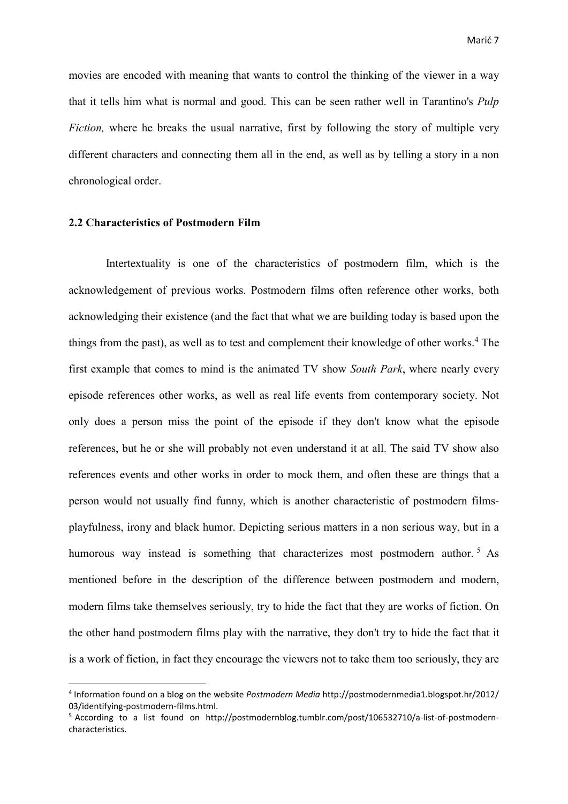movies are encoded with meaning that wants to control the thinking of the viewer in a way that it tells him what is normal and good. This can be seen rather well in Tarantino's *Pulp Fiction*, where he breaks the usual narrative, first by following the story of multiple very different characters and connecting them all in the end, as well as by telling a story in a non chronological order.

#### **2.2 Characteristics of Postmodern Film**

**.** 

 Intertextuality is one of the characteristics of postmodern film, which is the acknowledgement of previous works. Postmodern films often reference other works, both acknowledging their existence (and the fact that what we are building today is based upon the things from the past), as well as to test and complement their knowledge of other works.<sup>4</sup> The first example that comes to mind is the animated TV show *South Park*, where nearly every episode references other works, as well as real life events from contemporary society. Not only does a person miss the point of the episode if they don't know what the episode references, but he or she will probably not even understand it at all. The said TV show also references events and other works in order to mock them, and often these are things that a person would not usually find funny, which is another characteristic of postmodern filmsplayfulness, irony and black humor. Depicting serious matters in a non serious way, but in a humorous way instead is something that characterizes most postmodern author.<sup>5</sup> As mentioned before in the description of the difference between postmodern and modern, modern films take themselves seriously, try to hide the fact that they are works of fiction. On the other hand postmodern films play with the narrative, they don't try to hide the fact that it is a work of fiction, in fact they encourage the viewers not to take them too seriously, they are

<sup>4</sup> Information found on a blog on the website *Postmodern Media* http://postmodernmedia1.blogspot.hr/2012/ 03/identifying-postmodern-films.html.

<sup>5</sup> According to a list found on http://postmodernblog.tumblr.com/post/106532710/a-list-of-postmoderncharacteristics.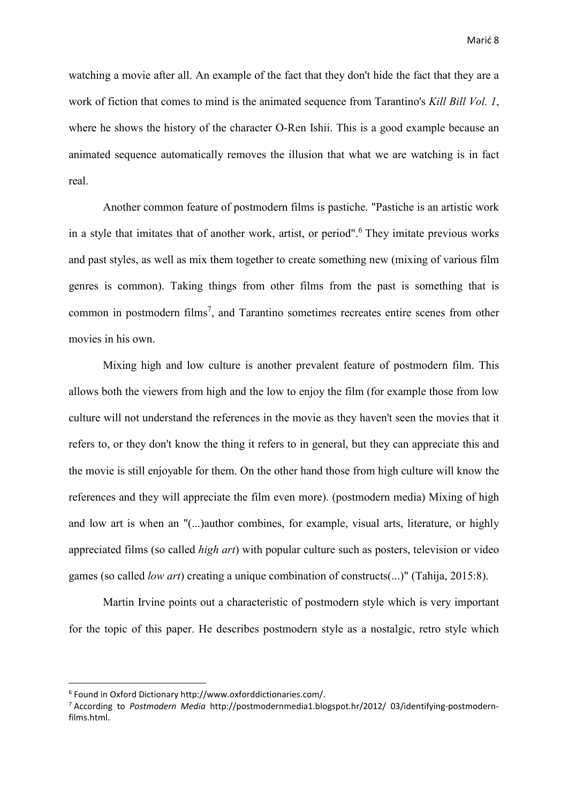watching a movie after all. An example of the fact that they don't hide the fact that they are a work of fiction that comes to mind is the animated sequence from Tarantino's *Kill Bill Vol. 1*, where he shows the history of the character O-Ren Ishii. This is a good example because an animated sequence automatically removes the illusion that what we are watching is in fact real.

 Another common feature of postmodern films is pastiche. "Pastiche is an artistic work in a style that imitates that of another work, artist, or period".<sup>6</sup> They imitate previous works and past styles, as well as mix them together to create something new (mixing of various film genres is common). Taking things from other films from the past is something that is common in postmodern films<sup>7</sup>, and Tarantino sometimes recreates entire scenes from other movies in his own.

 Mixing high and low culture is another prevalent feature of postmodern film. This allows both the viewers from high and the low to enjoy the film (for example those from low culture will not understand the references in the movie as they haven't seen the movies that it refers to, or they don't know the thing it refers to in general, but they can appreciate this and the movie is still enjoyable for them. On the other hand those from high culture will know the references and they will appreciate the film even more). (postmodern media) Mixing of high and low art is when an "(...)author combines, for example, visual arts, literature, or highly appreciated films (so called *high art*) with popular culture such as posters, television or video games (so called *low art*) creating a unique combination of constructs(...)" (Tahija, 2015:8).

 Martin Irvine points out a characteristic of postmodern style which is very important for the topic of this paper. He describes postmodern style as a nostalgic, retro style which

**.** 

<sup>6</sup> Found in Oxford Dictionary http://www.oxforddictionaries.com/.

<sup>7</sup> According to *Postmodern Media* http://postmodernmedia1.blogspot.hr/2012/ 03/identifying-postmodernfilms.html.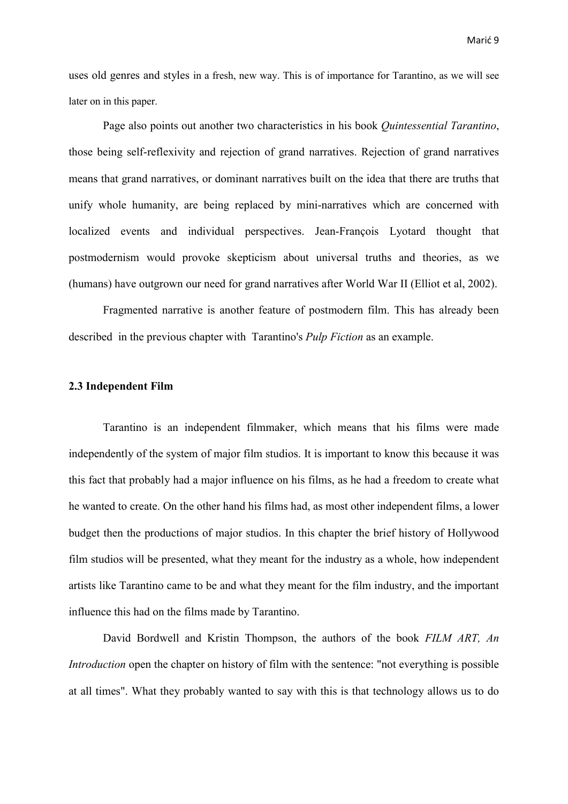uses old genres and styles in a fresh, new way. This is of importance for Tarantino, as we will see later on in this paper.

 Page also points out another two characteristics in his book *Quintessential Tarantino*, those being self-reflexivity and rejection of grand narratives. Rejection of grand narratives means that grand narratives, or dominant narratives built on the idea that there are truths that unify whole humanity, are being replaced by mini-narratives which are concerned with localized events and individual perspectives. Jean-François Lyotard thought that postmodernism would provoke skepticism about universal truths and theories, as we (humans) have outgrown our need for grand narratives after World War II (Elliot et al, 2002).

 Fragmented narrative is another feature of postmodern film. This has already been described in the previous chapter with Tarantino's *Pulp Fiction* as an example.

#### **2.3 Independent Film**

 Tarantino is an independent filmmaker, which means that his films were made independently of the system of major film studios. It is important to know this because it was this fact that probably had a major influence on his films, as he had a freedom to create what he wanted to create. On the other hand his films had, as most other independent films, a lower budget then the productions of major studios. In this chapter the brief history of Hollywood film studios will be presented, what they meant for the industry as a whole, how independent artists like Tarantino came to be and what they meant for the film industry, and the important influence this had on the films made by Tarantino.

 David Bordwell and Kristin Thompson, the authors of the book *FILM ART, An Introduction* open the chapter on history of film with the sentence: "not everything is possible at all times". What they probably wanted to say with this is that technology allows us to do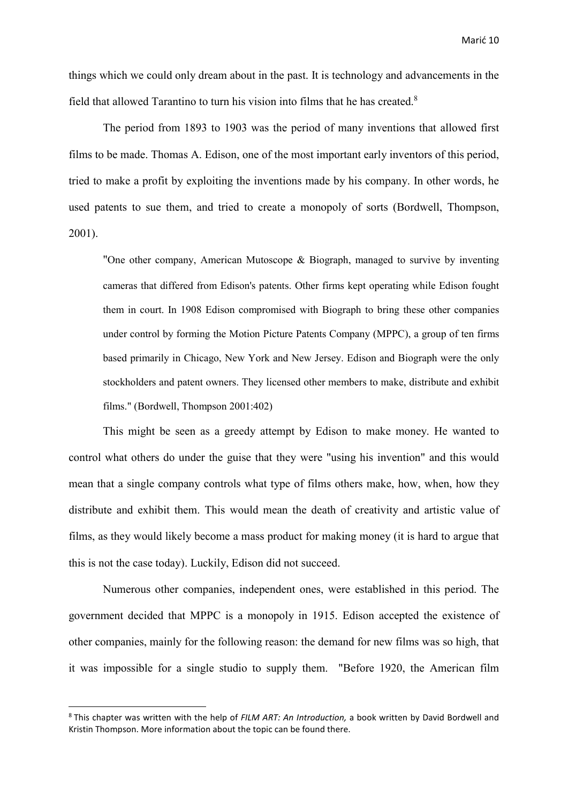things which we could only dream about in the past. It is technology and advancements in the field that allowed Tarantino to turn his vision into films that he has created.<sup>8</sup>

 The period from 1893 to 1903 was the period of many inventions that allowed first films to be made. Thomas A. Edison, one of the most important early inventors of this period, tried to make a profit by exploiting the inventions made by his company. In other words, he used patents to sue them, and tried to create a monopoly of sorts (Bordwell, Thompson, 2001).

 "One other company, American Mutoscope & Biograph, managed to survive by inventing cameras that differed from Edison's patents. Other firms kept operating while Edison fought them in court. In 1908 Edison compromised with Biograph to bring these other companies under control by forming the Motion Picture Patents Company (MPPC), a group of ten firms based primarily in Chicago, New York and New Jersey. Edison and Biograph were the only stockholders and patent owners. They licensed other members to make, distribute and exhibit films." (Bordwell, Thompson 2001:402)

 This might be seen as a greedy attempt by Edison to make money. He wanted to control what others do under the guise that they were "using his invention" and this would mean that a single company controls what type of films others make, how, when, how they distribute and exhibit them. This would mean the death of creativity and artistic value of films, as they would likely become a mass product for making money (it is hard to argue that this is not the case today). Luckily, Edison did not succeed.

 Numerous other companies, independent ones, were established in this period. The government decided that MPPC is a monopoly in 1915. Edison accepted the existence of other companies, mainly for the following reason: the demand for new films was so high, that it was impossible for a single studio to supply them. "Before 1920, the American film

**.** 

<sup>8</sup> This chapter was written with the help of *FILM ART: An Introduction,* a book written by David Bordwell and Kristin Thompson. More information about the topic can be found there.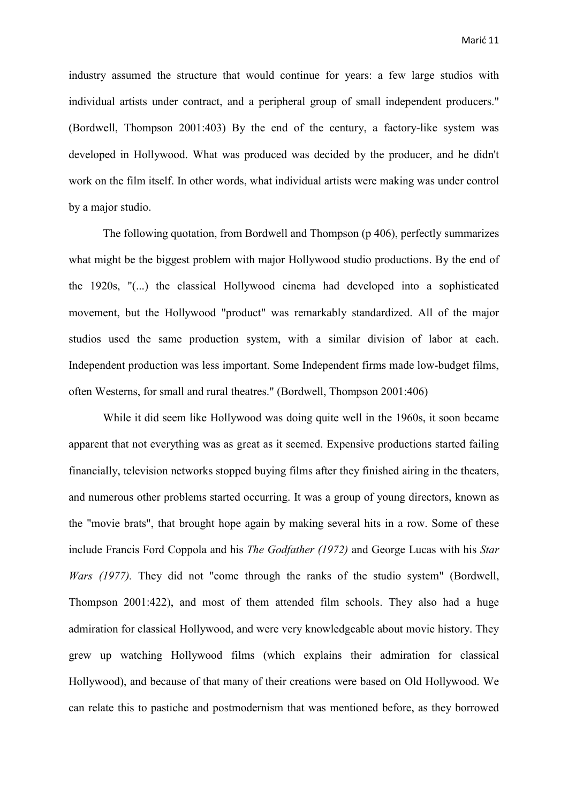industry assumed the structure that would continue for years: a few large studios with individual artists under contract, and a peripheral group of small independent producers." (Bordwell, Thompson 2001:403) By the end of the century, a factory-like system was developed in Hollywood. What was produced was decided by the producer, and he didn't work on the film itself. In other words, what individual artists were making was under control by a major studio.

 The following quotation, from Bordwell and Thompson (p 406), perfectly summarizes what might be the biggest problem with major Hollywood studio productions. By the end of the 1920s, "(...) the classical Hollywood cinema had developed into a sophisticated movement, but the Hollywood "product" was remarkably standardized. All of the major studios used the same production system, with a similar division of labor at each. Independent production was less important. Some Independent firms made low-budget films, often Westerns, for small and rural theatres." (Bordwell, Thompson 2001:406)

 While it did seem like Hollywood was doing quite well in the 1960s, it soon became apparent that not everything was as great as it seemed. Expensive productions started failing financially, television networks stopped buying films after they finished airing in the theaters, and numerous other problems started occurring. It was a group of young directors, known as the "movie brats", that brought hope again by making several hits in a row. Some of these include Francis Ford Coppola and his *The Godfather (1972)* and George Lucas with his *Star Wars (1977).* They did not "come through the ranks of the studio system" (Bordwell, Thompson 2001:422), and most of them attended film schools. They also had a huge admiration for classical Hollywood, and were very knowledgeable about movie history. They grew up watching Hollywood films (which explains their admiration for classical Hollywood), and because of that many of their creations were based on Old Hollywood. We can relate this to pastiche and postmodernism that was mentioned before, as they borrowed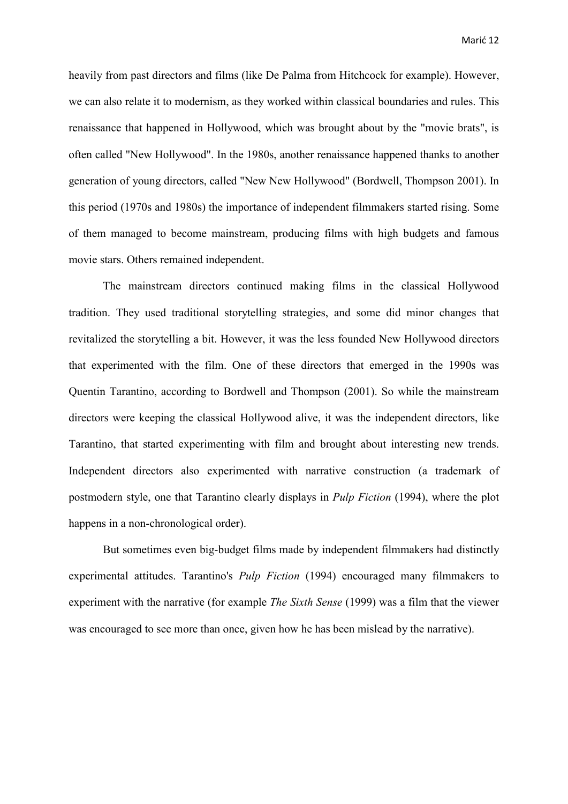heavily from past directors and films (like De Palma from Hitchcock for example). However, we can also relate it to modernism, as they worked within classical boundaries and rules. This renaissance that happened in Hollywood, which was brought about by the "movie brats", is often called "New Hollywood". In the 1980s, another renaissance happened thanks to another generation of young directors, called "New New Hollywood" (Bordwell, Thompson 2001). In this period (1970s and 1980s) the importance of independent filmmakers started rising. Some of them managed to become mainstream, producing films with high budgets and famous movie stars. Others remained independent.

 The mainstream directors continued making films in the classical Hollywood tradition. They used traditional storytelling strategies, and some did minor changes that revitalized the storytelling a bit. However, it was the less founded New Hollywood directors that experimented with the film. One of these directors that emerged in the 1990s was Quentin Tarantino, according to Bordwell and Thompson (2001). So while the mainstream directors were keeping the classical Hollywood alive, it was the independent directors, like Tarantino, that started experimenting with film and brought about interesting new trends. Independent directors also experimented with narrative construction (a trademark of postmodern style, one that Tarantino clearly displays in *Pulp Fiction* (1994), where the plot happens in a non-chronological order).

 But sometimes even big-budget films made by independent filmmakers had distinctly experimental attitudes. Tarantino's *Pulp Fiction* (1994) encouraged many filmmakers to experiment with the narrative (for example *The Sixth Sense* (1999) was a film that the viewer was encouraged to see more than once, given how he has been mislead by the narrative).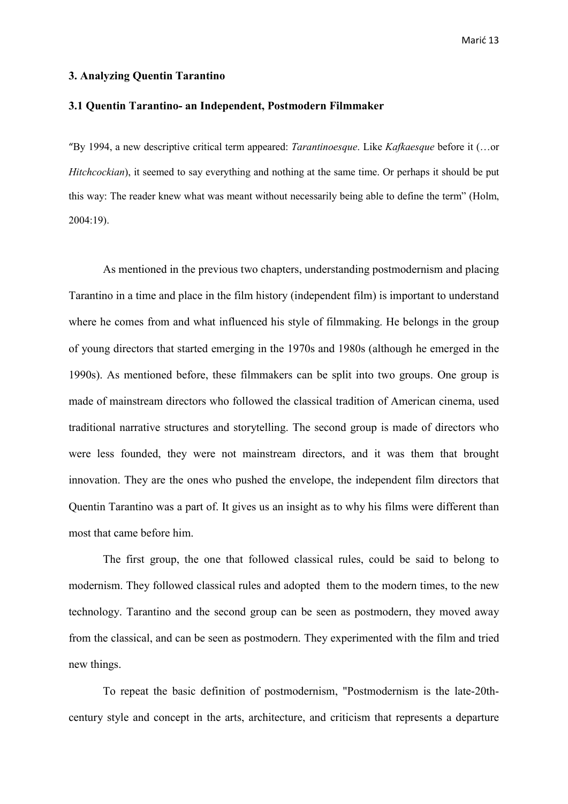#### **3. Analyzing Quentin Tarantino**

#### **3.1 Quentin Tarantino- an Independent, Postmodern Filmmaker**

"By 1994, a new descriptive critical term appeared: *Tarantinoesque*. Like *Kafkaesque* before it (…or *Hitchcockian*), it seemed to say everything and nothing at the same time. Or perhaps it should be put this way: The reader knew what was meant without necessarily being able to define the term" (Holm, 2004:19).

As mentioned in the previous two chapters, understanding postmodernism and placing Tarantino in a time and place in the film history (independent film) is important to understand where he comes from and what influenced his style of filmmaking. He belongs in the group of young directors that started emerging in the 1970s and 1980s (although he emerged in the 1990s). As mentioned before, these filmmakers can be split into two groups. One group is made of mainstream directors who followed the classical tradition of American cinema, used traditional narrative structures and storytelling. The second group is made of directors who were less founded, they were not mainstream directors, and it was them that brought innovation. They are the ones who pushed the envelope, the independent film directors that Quentin Tarantino was a part of. It gives us an insight as to why his films were different than most that came before him.

 The first group, the one that followed classical rules, could be said to belong to modernism. They followed classical rules and adopted them to the modern times, to the new technology. Tarantino and the second group can be seen as postmodern, they moved away from the classical, and can be seen as postmodern. They experimented with the film and tried new things.

 To repeat the basic definition of postmodernism, "Postmodernism is the late-20thcentury style and concept in the arts, architecture, and criticism that represents a departure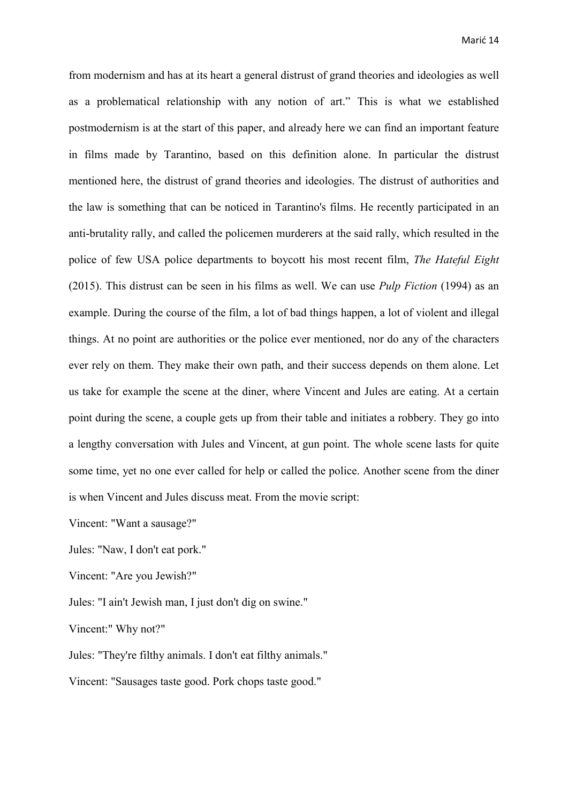from modernism and has at its heart a general distrust of grand theories and ideologies as well as a problematical relationship with any notion of art." This is what we established postmodernism is at the start of this paper, and already here we can find an important feature in films made by Tarantino, based on this definition alone. In particular the distrust mentioned here, the distrust of grand theories and ideologies. The distrust of authorities and the law is something that can be noticed in Tarantino's films. He recently participated in an anti-brutality rally, and called the policemen murderers at the said rally, which resulted in the police of few USA police departments to boycott his most recent film, *The Hateful Eight*  (2015). This distrust can be seen in his films as well. We can use *Pulp Fiction* (1994) as an example. During the course of the film, a lot of bad things happen, a lot of violent and illegal things. At no point are authorities or the police ever mentioned, nor do any of the characters ever rely on them. They make their own path, and their success depends on them alone. Let us take for example the scene at the diner, where Vincent and Jules are eating. At a certain point during the scene, a couple gets up from their table and initiates a robbery. They go into a lengthy conversation with Jules and Vincent, at gun point. The whole scene lasts for quite some time, yet no one ever called for help or called the police. Another scene from the diner is when Vincent and Jules discuss meat. From the movie script:

Vincent: "Want a sausage?"

Jules: "Naw, I don't eat pork."

Vincent: "Are you Jewish?"

Jules: "I ain't Jewish man, I just don't dig on swine."

Vincent:" Why not?"

Jules: "They're filthy animals. I don't eat filthy animals."

Vincent: "Sausages taste good. Pork chops taste good."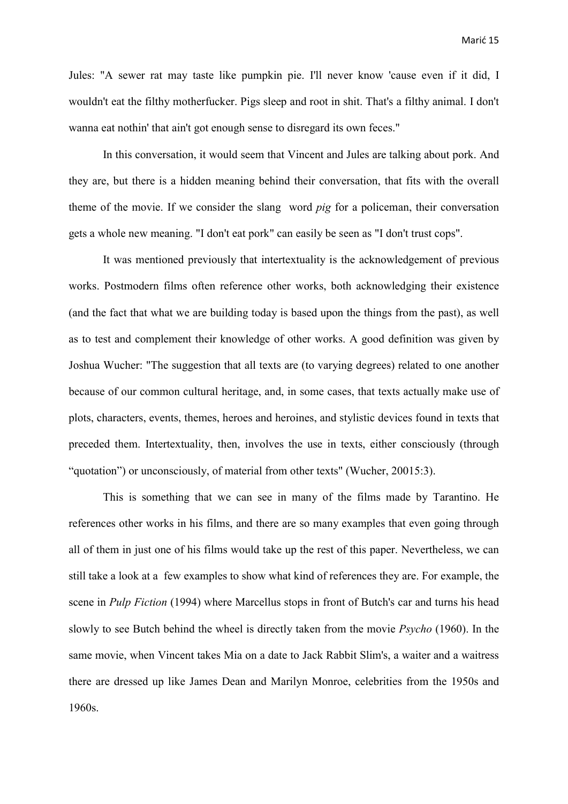Jules: "A sewer rat may taste like pumpkin pie. I'll never know 'cause even if it did, I wouldn't eat the filthy motherfucker. Pigs sleep and root in shit. That's a filthy animal. I don't wanna eat nothin' that ain't got enough sense to disregard its own feces."

 In this conversation, it would seem that Vincent and Jules are talking about pork. And they are, but there is a hidden meaning behind their conversation, that fits with the overall theme of the movie. If we consider the slang word *pig* for a policeman, their conversation gets a whole new meaning. "I don't eat pork" can easily be seen as "I don't trust cops".

 It was mentioned previously that intertextuality is the acknowledgement of previous works. Postmodern films often reference other works, both acknowledging their existence (and the fact that what we are building today is based upon the things from the past), as well as to test and complement their knowledge of other works. A good definition was given by Joshua Wucher: "The suggestion that all texts are (to varying degrees) related to one another because of our common cultural heritage, and, in some cases, that texts actually make use of plots, characters, events, themes, heroes and heroines, and stylistic devices found in texts that preceded them. Intertextuality, then, involves the use in texts, either consciously (through "quotation") or unconsciously, of material from other texts" (Wucher, 20015:3).

 This is something that we can see in many of the films made by Tarantino. He references other works in his films, and there are so many examples that even going through all of them in just one of his films would take up the rest of this paper. Nevertheless, we can still take a look at a few examples to show what kind of references they are. For example, the scene in *Pulp Fiction* (1994) where Marcellus stops in front of Butch's car and turns his head slowly to see Butch behind the wheel is directly taken from the movie *Psycho* (1960). In the same movie, when Vincent takes Mia on a date to Jack Rabbit Slim's, a waiter and a waitress there are dressed up like James Dean and Marilyn Monroe, celebrities from the 1950s and 1960s.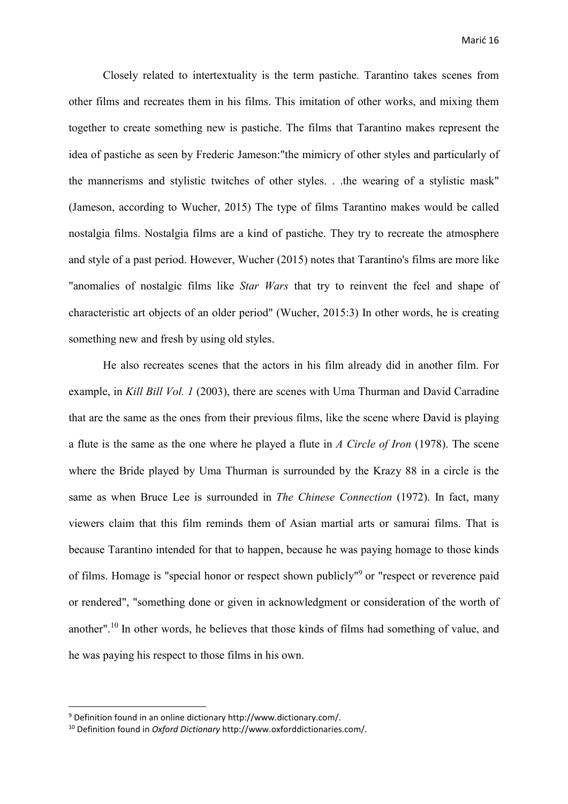Closely related to intertextuality is the term pastiche. Tarantino takes scenes from other films and recreates them in his films. This imitation of other works, and mixing them together to create something new is pastiche. The films that Tarantino makes represent the idea of pastiche as seen by Frederic Jameson:"the mimicry of other styles and particularly of the mannerisms and stylistic twitches of other styles. . .the wearing of a stylistic mask" (Jameson, according to Wucher, 2015) The type of films Tarantino makes would be called nostalgia films. Nostalgia films are a kind of pastiche. They try to recreate the atmosphere and style of a past period. However, Wucher (2015) notes that Tarantino's films are more like "anomalies of nostalgic films like *Star Wars* that try to reinvent the feel and shape of characteristic art objects of an older period" (Wucher, 2015:3) In other words, he is creating something new and fresh by using old styles.

 He also recreates scenes that the actors in his film already did in another film. For example, in *Kill Bill Vol. 1* (2003), there are scenes with Uma Thurman and David Carradine that are the same as the ones from their previous films, like the scene where David is playing a flute is the same as the one where he played a flute in *A Circle of Iron* (1978). The scene where the Bride played by Uma Thurman is surrounded by the Krazy 88 in a circle is the same as when Bruce Lee is surrounded in *The Chinese Connection* (1972). In fact, many viewers claim that this film reminds them of Asian martial arts or samurai films. That is because Tarantino intended for that to happen, because he was paying homage to those kinds of films. Homage is "special honor or respect shown publicly"<sup>9</sup> or "respect or reverence paid or rendered", "something done or given in acknowledgment or consideration of the worth of another".10 In other words, he believes that those kinds of films had something of value, and he was paying his respect to those films in his own.

**.** 

<sup>&</sup>lt;sup>9</sup> Definition found in an online dictionary http://www.dictionary.com/.

<sup>&</sup>lt;sup>10</sup> Definition found in *Oxford Dictionary* http://www.oxforddictionaries.com/.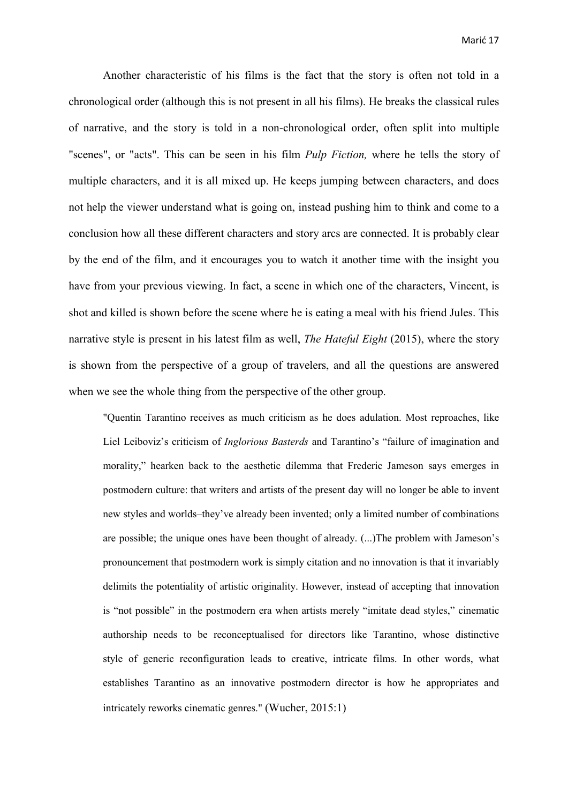Another characteristic of his films is the fact that the story is often not told in a chronological order (although this is not present in all his films). He breaks the classical rules of narrative, and the story is told in a non-chronological order, often split into multiple "scenes", or "acts". This can be seen in his film *Pulp Fiction,* where he tells the story of multiple characters, and it is all mixed up. He keeps jumping between characters, and does not help the viewer understand what is going on, instead pushing him to think and come to a conclusion how all these different characters and story arcs are connected. It is probably clear by the end of the film, and it encourages you to watch it another time with the insight you have from your previous viewing. In fact, a scene in which one of the characters, Vincent, is shot and killed is shown before the scene where he is eating a meal with his friend Jules. This narrative style is present in his latest film as well, *The Hateful Eight* (2015), where the story is shown from the perspective of a group of travelers, and all the questions are answered when we see the whole thing from the perspective of the other group.

"Quentin Tarantino receives as much criticism as he does adulation. Most reproaches, like Liel Leiboviz's criticism of *Inglorious Basterds* and Tarantino's "failure of imagination and morality," hearken back to the aesthetic dilemma that Frederic Jameson says emerges in postmodern culture: that writers and artists of the present day will no longer be able to invent new styles and worlds–they've already been invented; only a limited number of combinations are possible; the unique ones have been thought of already. (...)The problem with Jameson's pronouncement that postmodern work is simply citation and no innovation is that it invariably delimits the potentiality of artistic originality. However, instead of accepting that innovation is "not possible" in the postmodern era when artists merely "imitate dead styles," cinematic authorship needs to be reconceptualised for directors like Tarantino, whose distinctive style of generic reconfiguration leads to creative, intricate films. In other words, what establishes Tarantino as an innovative postmodern director is how he appropriates and intricately reworks cinematic genres." (Wucher, 2015:1)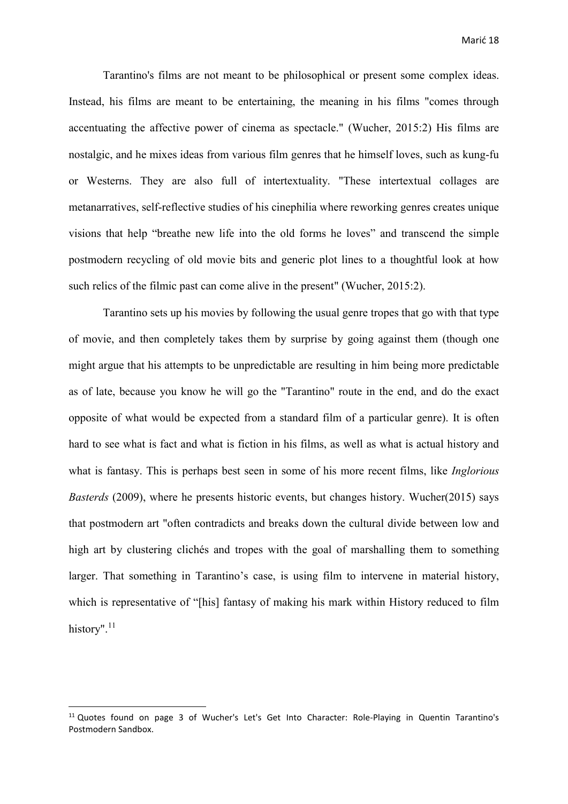Tarantino's films are not meant to be philosophical or present some complex ideas. Instead, his films are meant to be entertaining, the meaning in his films "comes through accentuating the affective power of cinema as spectacle." (Wucher, 2015:2) His films are nostalgic, and he mixes ideas from various film genres that he himself loves, such as kung-fu or Westerns. They are also full of intertextuality. "These intertextual collages are metanarratives, self-reflective studies of his cinephilia where reworking genres creates unique visions that help "breathe new life into the old forms he loves" and transcend the simple postmodern recycling of old movie bits and generic plot lines to a thoughtful look at how such relics of the filmic past can come alive in the present" (Wucher, 2015:2).

 Tarantino sets up his movies by following the usual genre tropes that go with that type of movie, and then completely takes them by surprise by going against them (though one might argue that his attempts to be unpredictable are resulting in him being more predictable as of late, because you know he will go the "Tarantino" route in the end, and do the exact opposite of what would be expected from a standard film of a particular genre). It is often hard to see what is fact and what is fiction in his films, as well as what is actual history and what is fantasy. This is perhaps best seen in some of his more recent films, like *Inglorious Basterds* (2009), where he presents historic events, but changes history. Wucher(2015) says that postmodern art "often contradicts and breaks down the cultural divide between low and high art by clustering clichés and tropes with the goal of marshalling them to something larger. That something in Tarantino's case, is using film to intervene in material history, which is representative of "[his] fantasy of making his mark within History reduced to film history".<sup>11</sup>

**.** 

<sup>&</sup>lt;sup>11</sup> Quotes found on page 3 of Wucher's Let's Get Into Character: Role-Playing in Quentin Tarantino's Postmodern Sandbox.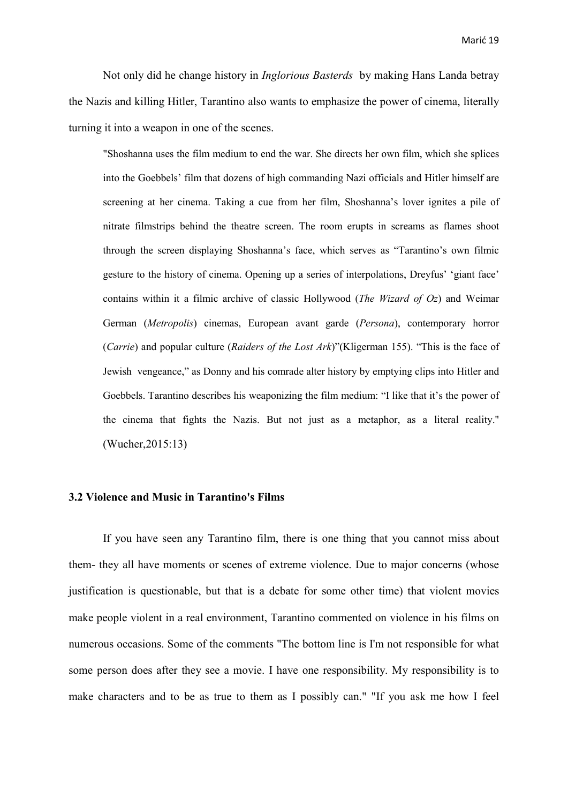Not only did he change history in *Inglorious Basterds* by making Hans Landa betray the Nazis and killing Hitler, Tarantino also wants to emphasize the power of cinema, literally turning it into a weapon in one of the scenes.

 "Shoshanna uses the film medium to end the war. She directs her own film, which she splices into the Goebbels' film that dozens of high commanding Nazi officials and Hitler himself are screening at her cinema. Taking a cue from her film, Shoshanna's lover ignites a pile of nitrate filmstrips behind the theatre screen. The room erupts in screams as flames shoot through the screen displaying Shoshanna's face, which serves as "Tarantino's own filmic gesture to the history of cinema. Opening up a series of interpolations, Dreyfus' 'giant face' contains within it a filmic archive of classic Hollywood (*The Wizard of Oz*) and Weimar German (*Metropolis*) cinemas, European avant garde (*Persona*), contemporary horror (*Carrie*) and popular culture (*Raiders of the Lost Ark*)"(Kligerman 155). "This is the face of Jewish vengeance," as Donny and his comrade alter history by emptying clips into Hitler and Goebbels. Tarantino describes his weaponizing the film medium: "I like that it's the power of the cinema that fights the Nazis. But not just as a metaphor, as a literal reality." (Wucher,2015:13)

### **3.2 Violence and Music in Tarantino's Films**

 If you have seen any Tarantino film, there is one thing that you cannot miss about them- they all have moments or scenes of extreme violence. Due to major concerns (whose justification is questionable, but that is a debate for some other time) that violent movies make people violent in a real environment, Tarantino commented on violence in his films on numerous occasions. Some of the comments "The bottom line is I'm not responsible for what some person does after they see a movie. I have one responsibility. My responsibility is to make characters and to be as true to them as I possibly can." "If you ask me how I feel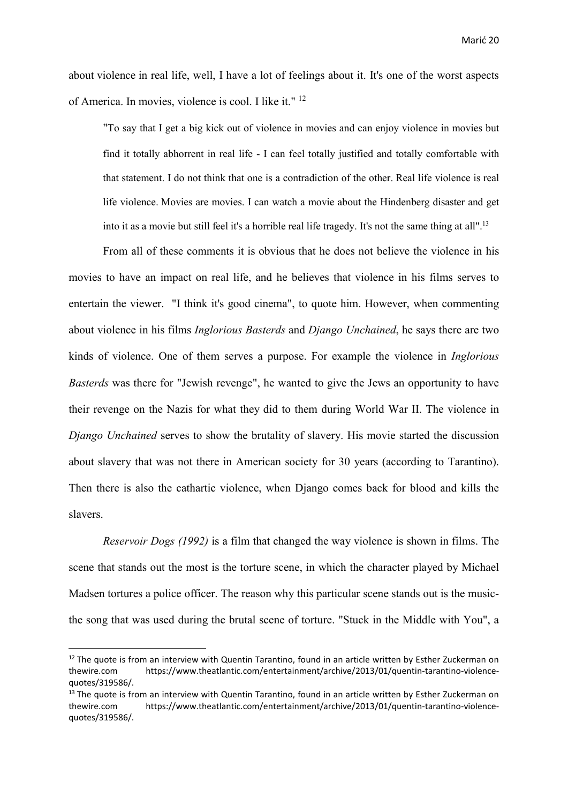about violence in real life, well, I have a lot of feelings about it. It's one of the worst aspects of America. In movies, violence is cool. I like it." <sup>12</sup>

 "To say that I get a big kick out of violence in movies and can enjoy violence in movies but find it totally abhorrent in real life - I can feel totally justified and totally comfortable with that statement. I do not think that one is a contradiction of the other. Real life violence is real life violence. Movies are movies. I can watch a movie about the Hindenberg disaster and get into it as a movie but still feel it's a horrible real life tragedy. It's not the same thing at all".13

 From all of these comments it is obvious that he does not believe the violence in his movies to have an impact on real life, and he believes that violence in his films serves to entertain the viewer. "I think it's good cinema", to quote him. However, when commenting about violence in his films *Inglorious Basterds* and *Django Unchained*, he says there are two kinds of violence. One of them serves a purpose. For example the violence in *Inglorious Basterds* was there for "Jewish revenge", he wanted to give the Jews an opportunity to have their revenge on the Nazis for what they did to them during World War II. The violence in *Django Unchained* serves to show the brutality of slavery. His movie started the discussion about slavery that was not there in American society for 30 years (according to Tarantino). Then there is also the cathartic violence, when Django comes back for blood and kills the slavers.

*Reservoir Dogs (1992)* is a film that changed the way violence is shown in films. The scene that stands out the most is the torture scene, in which the character played by Michael Madsen tortures a police officer. The reason why this particular scene stands out is the musicthe song that was used during the brutal scene of torture. "Stuck in the Middle with You", a

**.** 

 $12$  The quote is from an interview with Quentin Tarantino, found in an article written by Esther Zuckerman on thewire.com https://www.theatlantic.com/entertainment/archive/2013/01/quentin-tarantino-violencequotes/319586/.

 $13$  The quote is from an interview with Quentin Tarantino, found in an article written by Esther Zuckerman on thewire.com https://www.theatlantic.com/entertainment/archive/2013/01/quentin-tarantino-violencequotes/319586/.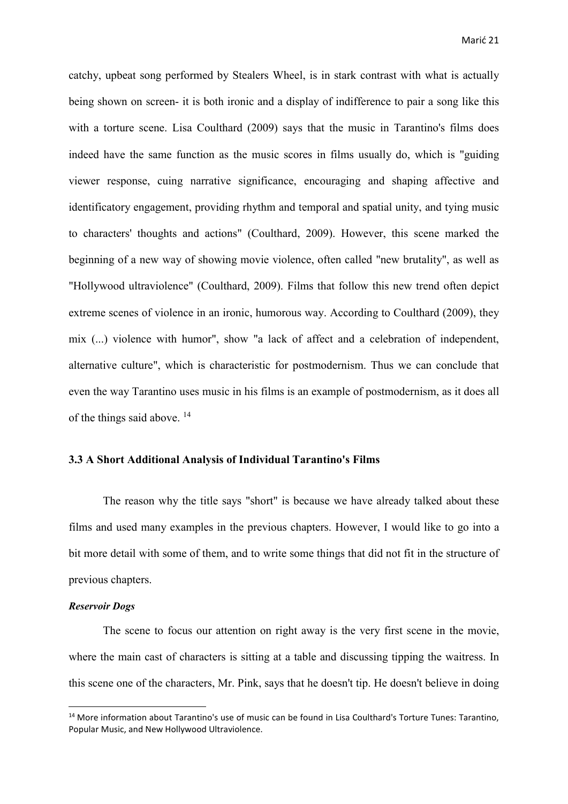catchy, upbeat song performed by Stealers Wheel, is in stark contrast with what is actually being shown on screen- it is both ironic and a display of indifference to pair a song like this with a torture scene. Lisa Coulthard (2009) says that the music in Tarantino's films does indeed have the same function as the music scores in films usually do, which is "guiding viewer response, cuing narrative significance, encouraging and shaping affective and identificatory engagement, providing rhythm and temporal and spatial unity, and tying music to characters' thoughts and actions" (Coulthard, 2009). However, this scene marked the beginning of a new way of showing movie violence, often called "new brutality", as well as "Hollywood ultraviolence" (Coulthard, 2009). Films that follow this new trend often depict extreme scenes of violence in an ironic, humorous way. According to Coulthard (2009), they mix (...) violence with humor", show "a lack of affect and a celebration of independent, alternative culture", which is characteristic for postmodernism. Thus we can conclude that even the way Tarantino uses music in his films is an example of postmodernism, as it does all of the things said above. <sup>14</sup>

### **3.3 A Short Additional Analysis of Individual Tarantino's Films**

 The reason why the title says "short" is because we have already talked about these films and used many examples in the previous chapters. However, I would like to go into a bit more detail with some of them, and to write some things that did not fit in the structure of previous chapters.

#### *Reservoir Dogs*

**.** 

The scene to focus our attention on right away is the very first scene in the movie, where the main cast of characters is sitting at a table and discussing tipping the waitress. In this scene one of the characters, Mr. Pink, says that he doesn't tip. He doesn't believe in doing

<sup>14</sup> More information about Tarantino's use of music can be found in Lisa Coulthard's Torture Tunes: Tarantino, Popular Music, and New Hollywood Ultraviolence.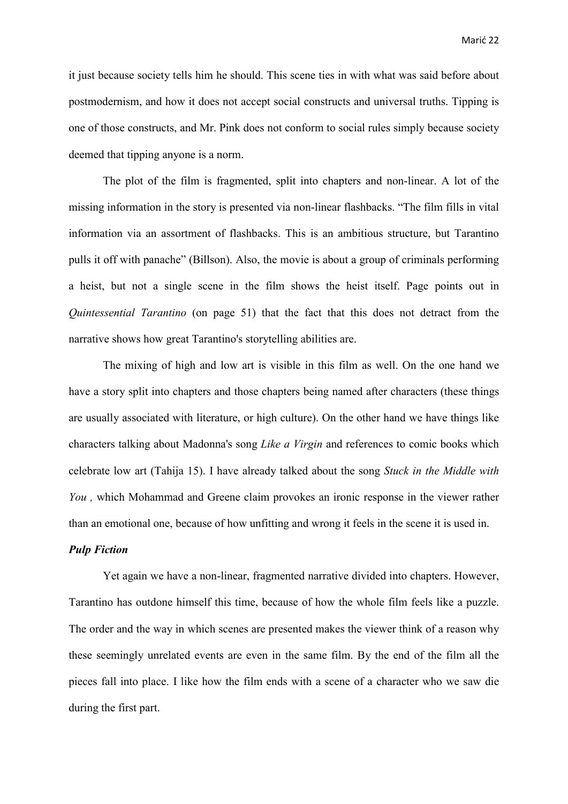it just because society tells him he should. This scene ties in with what was said before about postmodernism, and how it does not accept social constructs and universal truths. Tipping is one of those constructs, and Mr. Pink does not conform to social rules simply because society deemed that tipping anyone is a norm.

 The plot of the film is fragmented, split into chapters and non-linear. A lot of the missing information in the story is presented via non-linear flashbacks. "The film fills in vital information via an assortment of flashbacks. This is an ambitious structure, but Tarantino pulls it off with panache" (Billson). Also, the movie is about a group of criminals performing a heist, but not a single scene in the film shows the heist itself. Page points out in *Quintessential Tarantino* (on page 51) that the fact that this does not detract from the narrative shows how great Tarantino's storytelling abilities are.

 The mixing of high and low art is visible in this film as well. On the one hand we have a story split into chapters and those chapters being named after characters (these things are usually associated with literature, or high culture). On the other hand we have things like characters talking about Madonna's song *Like a Virgin* and references to comic books which celebrate low art (Tahija 15). I have already talked about the song *Stuck in the Middle with You ,* which Mohammad and Greene claim provokes an ironic response in the viewer rather than an emotional one, because of how unfitting and wrong it feels in the scene it is used in.

#### *Pulp Fiction*

 Yet again we have a non-linear, fragmented narrative divided into chapters. However, Tarantino has outdone himself this time, because of how the whole film feels like a puzzle. The order and the way in which scenes are presented makes the viewer think of a reason why these seemingly unrelated events are even in the same film. By the end of the film all the pieces fall into place. I like how the film ends with a scene of a character who we saw die during the first part.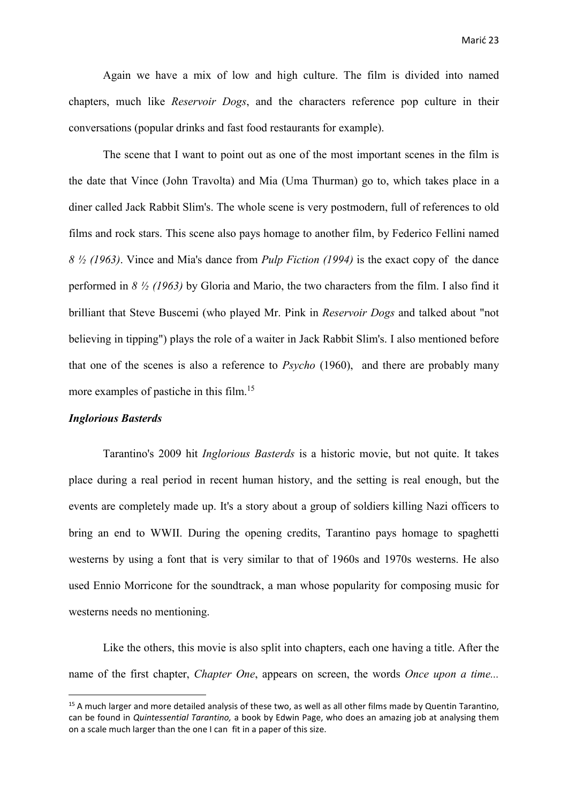Again we have a mix of low and high culture. The film is divided into named chapters, much like *Reservoir Dogs*, and the characters reference pop culture in their conversations (popular drinks and fast food restaurants for example).

 The scene that I want to point out as one of the most important scenes in the film is the date that Vince (John Travolta) and Mia (Uma Thurman) go to, which takes place in a diner called Jack Rabbit Slim's. The whole scene is very postmodern, full of references to old films and rock stars. This scene also pays homage to another film, by Federico Fellini named *8 ½ (1963)*. Vince and Mia's dance from *Pulp Fiction (1994)* is the exact copy of the dance performed in *8 ½ (1963)* by Gloria and Mario, the two characters from the film. I also find it brilliant that Steve Buscemi (who played Mr. Pink in *Reservoir Dogs* and talked about "not believing in tipping") plays the role of a waiter in Jack Rabbit Slim's. I also mentioned before that one of the scenes is also a reference to *Psycho* (1960), and there are probably many more examples of pastiche in this film.15

#### *Inglorious Basterds*

1

 Tarantino's 2009 hit *Inglorious Basterds* is a historic movie, but not quite. It takes place during a real period in recent human history, and the setting is real enough, but the events are completely made up. It's a story about a group of soldiers killing Nazi officers to bring an end to WWII. During the opening credits, Tarantino pays homage to spaghetti westerns by using a font that is very similar to that of 1960s and 1970s westerns. He also used Ennio Morricone for the soundtrack, a man whose popularity for composing music for westerns needs no mentioning.

 Like the others, this movie is also split into chapters, each one having a title. After the name of the first chapter, *Chapter One*, appears on screen, the words *Once upon a time...* 

<sup>&</sup>lt;sup>15</sup> A much larger and more detailed analysis of these two, as well as all other films made by Quentin Tarantino, can be found in *Quintessential Tarantino,* a book by Edwin Page, who does an amazing job at analysing them on a scale much larger than the one I can fit in a paper of this size.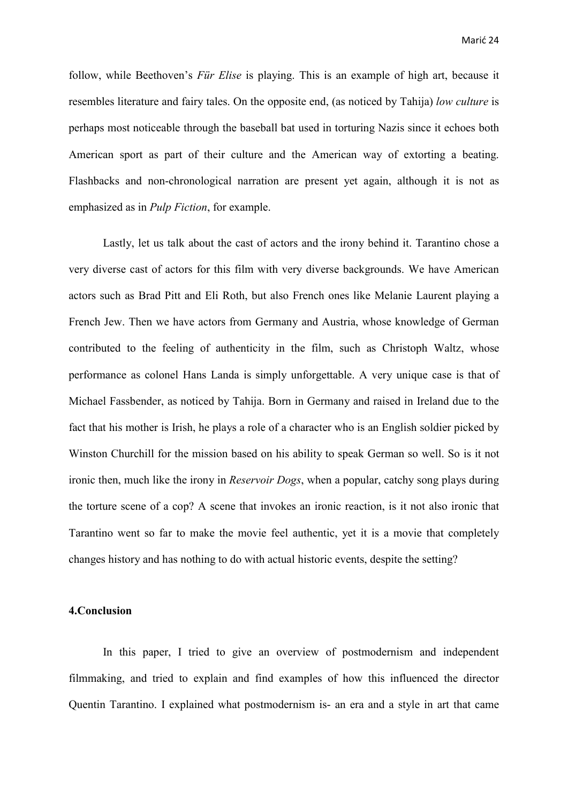follow, while Beethoven's *Für Elise* is playing. This is an example of high art, because it resembles literature and fairy tales. On the opposite end, (as noticed by Tahija) *low culture* is perhaps most noticeable through the baseball bat used in torturing Nazis since it echoes both American sport as part of their culture and the American way of extorting a beating. Flashbacks and non-chronological narration are present yet again, although it is not as emphasized as in *Pulp Fiction*, for example.

 Lastly, let us talk about the cast of actors and the irony behind it. Tarantino chose a very diverse cast of actors for this film with very diverse backgrounds. We have American actors such as Brad Pitt and Eli Roth, but also French ones like Melanie Laurent playing a French Jew. Then we have actors from Germany and Austria, whose knowledge of German contributed to the feeling of authenticity in the film, such as Christoph Waltz, whose performance as colonel Hans Landa is simply unforgettable. A very unique case is that of Michael Fassbender, as noticed by Tahija. Born in Germany and raised in Ireland due to the fact that his mother is Irish, he plays a role of a character who is an English soldier picked by Winston Churchill for the mission based on his ability to speak German so well. So is it not ironic then, much like the irony in *Reservoir Dogs*, when a popular, catchy song plays during the torture scene of a cop? A scene that invokes an ironic reaction, is it not also ironic that Tarantino went so far to make the movie feel authentic, yet it is a movie that completely changes history and has nothing to do with actual historic events, despite the setting?

#### **4.Conclusion**

 In this paper, I tried to give an overview of postmodernism and independent filmmaking, and tried to explain and find examples of how this influenced the director Quentin Tarantino. I explained what postmodernism is- an era and a style in art that came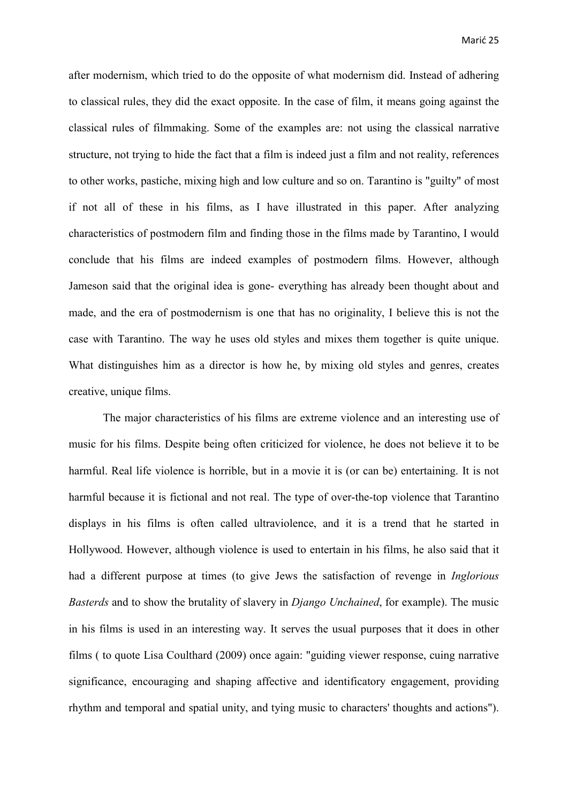after modernism, which tried to do the opposite of what modernism did. Instead of adhering to classical rules, they did the exact opposite. In the case of film, it means going against the classical rules of filmmaking. Some of the examples are: not using the classical narrative structure, not trying to hide the fact that a film is indeed just a film and not reality, references to other works, pastiche, mixing high and low culture and so on. Tarantino is "guilty" of most if not all of these in his films, as I have illustrated in this paper. After analyzing characteristics of postmodern film and finding those in the films made by Tarantino, I would conclude that his films are indeed examples of postmodern films. However, although Jameson said that the original idea is gone- everything has already been thought about and made, and the era of postmodernism is one that has no originality, I believe this is not the case with Tarantino. The way he uses old styles and mixes them together is quite unique. What distinguishes him as a director is how he, by mixing old styles and genres, creates creative, unique films.

 The major characteristics of his films are extreme violence and an interesting use of music for his films. Despite being often criticized for violence, he does not believe it to be harmful. Real life violence is horrible, but in a movie it is (or can be) entertaining. It is not harmful because it is fictional and not real. The type of over-the-top violence that Tarantino displays in his films is often called ultraviolence, and it is a trend that he started in Hollywood. However, although violence is used to entertain in his films, he also said that it had a different purpose at times (to give Jews the satisfaction of revenge in *Inglorious Basterds* and to show the brutality of slavery in *Django Unchained*, for example). The music in his films is used in an interesting way. It serves the usual purposes that it does in other films ( to quote Lisa Coulthard (2009) once again: "guiding viewer response, cuing narrative significance, encouraging and shaping affective and identificatory engagement, providing rhythm and temporal and spatial unity, and tying music to characters' thoughts and actions").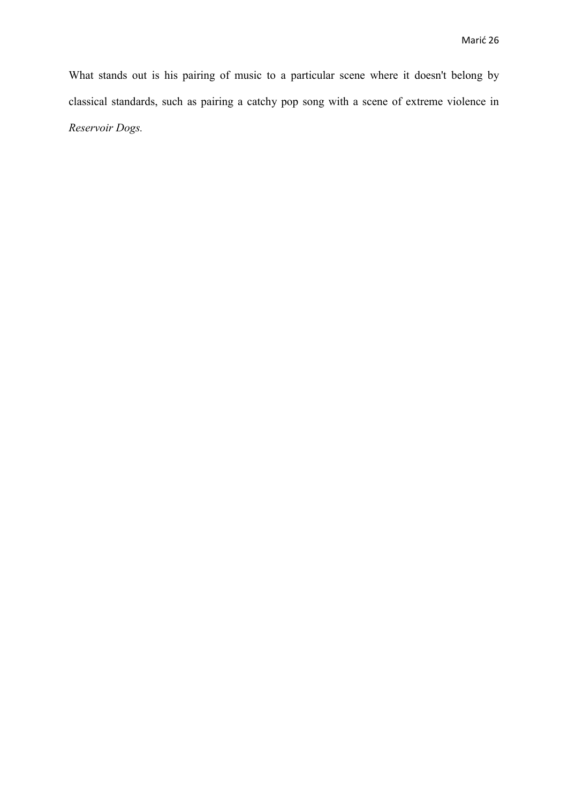What stands out is his pairing of music to a particular scene where it doesn't belong by classical standards, such as pairing a catchy pop song with a scene of extreme violence in *Reservoir Dogs.*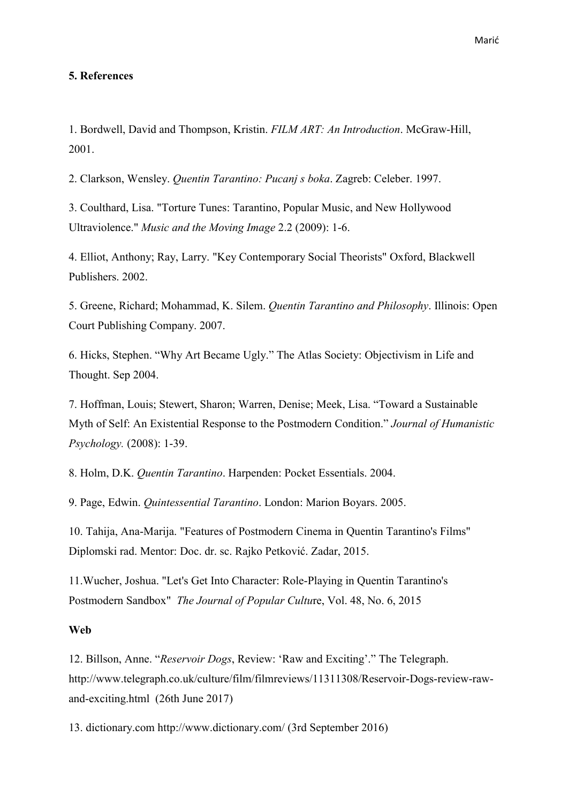### **5. References**

1. Bordwell, David and Thompson, Kristin. *FILM ART: An Introduction*. McGraw-Hill, 2001.

2. Clarkson, Wensley. *Quentin Tarantino: Pucanj s boka*. Zagreb: Celeber. 1997.

3. Coulthard, Lisa. "Torture Tunes: Tarantino, Popular Music, and New Hollywood Ultraviolence." *Music and the Moving Image* 2.2 (2009): 1-6.

4. Elliot, Anthony; Ray, Larry. "Key Contemporary Social Theorists" Oxford, Blackwell Publishers. 2002.

5. Greene, Richard; Mohammad, K. Silem. *Quentin Tarantino and Philosophy*. Illinois: Open Court Publishing Company. 2007.

6. Hicks, Stephen. "Why Art Became Ugly." The Atlas Society: Objectivism in Life and Thought. Sep 2004.

7. Hoffman, Louis; Stewert, Sharon; Warren, Denise; Meek, Lisa. "Toward a Sustainable Myth of Self: An Existential Response to the Postmodern Condition." *Journal of Humanistic Psychology.* (2008): 1-39.

8. Holm, D.K. *Quentin Tarantino*. Harpenden: Pocket Essentials. 2004.

9. Page, Edwin. *Quintessential Tarantino*. London: Marion Boyars. 2005.

10. Tahija, Ana-Marija. "Features of Postmodern Cinema in Quentin Tarantino's Films" Diplomski rad. Mentor: Doc. dr. sc. Rajko Petković. Zadar, 2015.

11.Wucher, Joshua. "Let's Get Into Character: Role-Playing in Quentin Tarantino's Postmodern Sandbox" *The Journal of Popular Cultu*re, Vol. 48, No. 6, 2015

#### **Web**

12. Billson, Anne. "*Reservoir Dogs*, Review: 'Raw and Exciting'." The Telegraph. http://www.telegraph.co.uk/culture/film/filmreviews/11311308/Reservoir-Dogs-review-rawand-exciting.html (26th June 2017)

13. dictionary.com http://www.dictionary.com/ (3rd September 2016)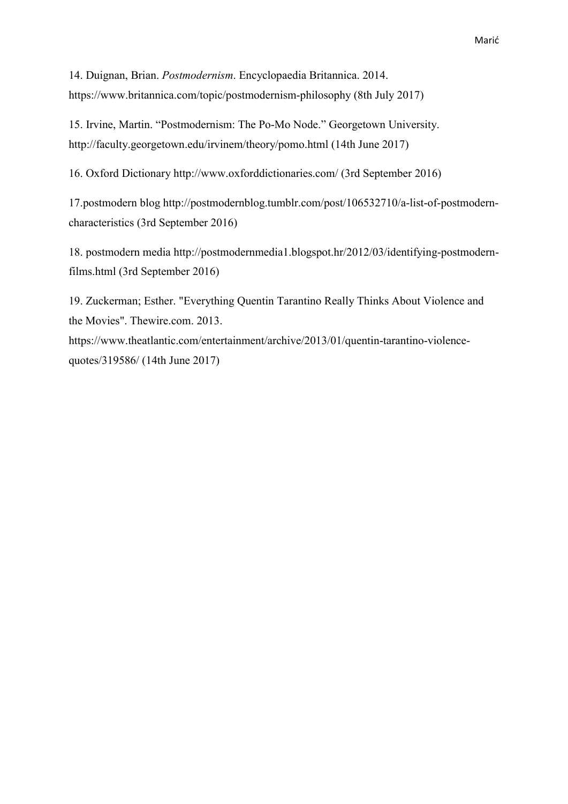14. Duignan, Brian. *Postmodernism*. Encyclopaedia Britannica. 2014. https://www.britannica.com/topic/postmodernism-philosophy (8th July 2017)

15. Irvine, Martin. "Postmodernism: The Po-Mo Node." Georgetown University. http://faculty.georgetown.edu/irvinem/theory/pomo.html (14th June 2017)

16. Oxford Dictionary http://www.oxforddictionaries.com/ (3rd September 2016)

17.postmodern blog http://postmodernblog.tumblr.com/post/106532710/a-list-of-postmoderncharacteristics (3rd September 2016)

18. postmodern media http://postmodernmedia1.blogspot.hr/2012/03/identifying-postmodernfilms.html (3rd September 2016)

19. Zuckerman; Esther. "Everything Quentin Tarantino Really Thinks About Violence and the Movies". Thewire.com. 2013. https://www.theatlantic.com/entertainment/archive/2013/01/quentin-tarantino-violence-

quotes/319586/ (14th June 2017)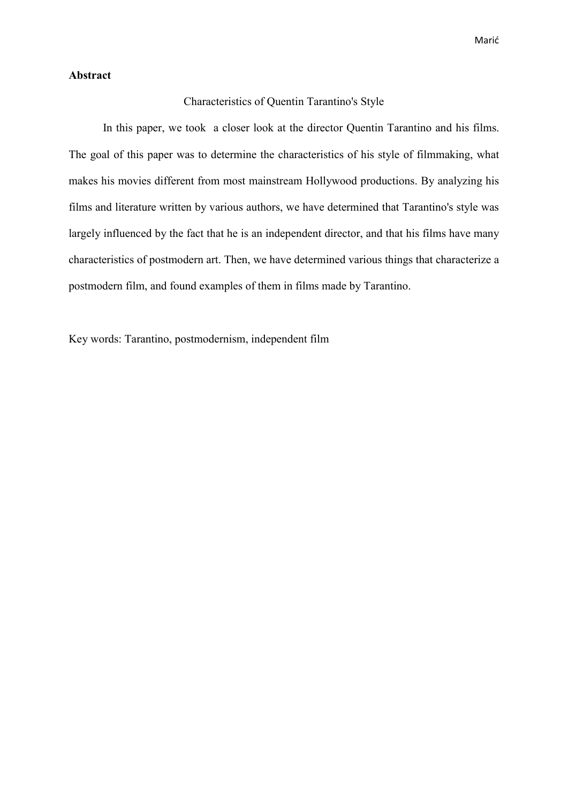#### **Abstract**

#### Characteristics of Quentin Tarantino's Style

 In this paper, we took a closer look at the director Quentin Tarantino and his films. The goal of this paper was to determine the characteristics of his style of filmmaking, what makes his movies different from most mainstream Hollywood productions. By analyzing his films and literature written by various authors, we have determined that Tarantino's style was largely influenced by the fact that he is an independent director, and that his films have many characteristics of postmodern art. Then, we have determined various things that characterize a postmodern film, and found examples of them in films made by Tarantino.

Key words: Tarantino, postmodernism, independent film